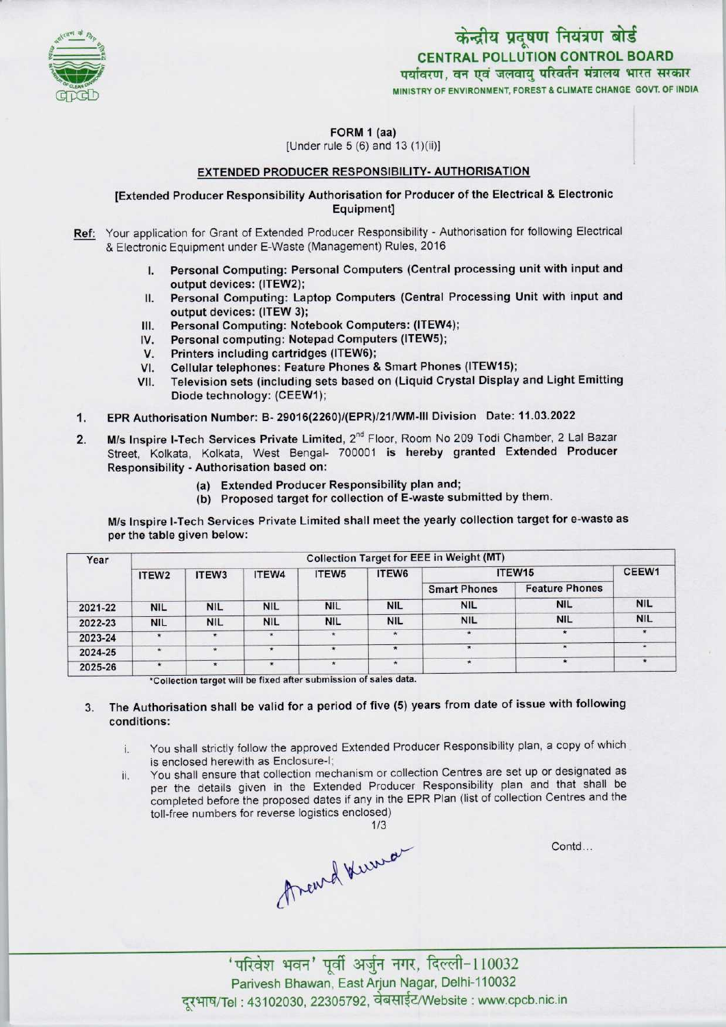

**FORM 1 (aa)**<br>[Under rule 5 (6) and 13 (1)(ii)]

#### EXTENDED PRODUCER RESPONSIBILITY- AUTHORISATION

[Extended Producer Responsibility Authorisation for Producer ofthe Electrical & Electronic Equipment]

Ref: Your application for Grant of Extended Producer Responsibility - Authorisation for following Electrical & Electronic Equipment under E-Waste (Management) Rules, 2016

- I. Personal Computing: Personal Computers (Central processing unit with input and output devices: (ITEW2);
- II. Personal Computing: Laptop Computers (Central Processing Unit with input and output devices: (ITEW 3); II. Personal Computing: Laptop Computers (Central Pi<br>
output devices: (ITEW 3);<br>
III. Personal Computing: Notebook Computers: (ITEW4);<br>
Notebook Computers (ITEW5);
- 
- output devices: (ITEW 3);<br>III. Personal Computing: Notebook Computers: (ITEW<br>IV. Personal computing: Notepad Computers (ITEW5);<br>M. Printers including contriders (ITEW6); III. Personal Computing: Notebook Computers: (ITEW4<br>IV. Personal computing: Notepad Computers (ITEW5);<br>V. Printers including cartridges (ITEW6);<br>VI. Cellular telephones: Feature Phones & Smart Phon
- 
- VI. Cellular telephones: Feature Phones & Smart Phones (ITEW15);<br>VII. Television sets (including sets based on (Liquid Crystal Display
- Television sets (including sets based on (Liquid Crystal Display and Light Emitting Diode technology: (CEEW1);
- 1.EPR Authorisation Number: B- 29016(2260)/(EPR)/21/WM-1II Division Date: 11.03.2022
- 2. M/s Inspire I-Tech Services Private Limited, 2<sup>nd</sup> Floor, Room No 209 Todi Chamber, 2 Lal Bazar Street, Kolkata, Kolkata, West Bengal- 700001 is hereby granted Extended Producer Responsibility - Authorisation based on:
	- (a)Extended Producer Responsibility plan and;
	- (b) Proposed target for collection of E-waste submitted by them.

M/s Inspire I-Tech Services Private Limited shall meet the yearly collection target for e-waste as per the table given below:

| Year    | <b>Collection Target for EEE in Weight (MT)</b> |            |            |                   |            |                     |                       |            |
|---------|-------------------------------------------------|------------|------------|-------------------|------------|---------------------|-----------------------|------------|
|         | ITEW <sub>2</sub>                               | ITEW3      | ITEW4      | ITEW <sub>5</sub> | ITEW6      | ITEW15              |                       | CEEW1      |
|         |                                                 |            |            |                   |            | <b>Smart Phones</b> | <b>Feature Phones</b> |            |
| 2021-22 | <b>NIL</b>                                      | <b>NIL</b> | <b>NIL</b> | <b>NIL</b>        | <b>NIL</b> | <b>NIL</b>          | <b>NIL</b>            | <b>NIL</b> |
| 2022-23 | <b>NIL</b>                                      | <b>NIL</b> | <b>NIL</b> | <b>NIL</b>        | <b>NIL</b> | <b>NIL</b>          | <b>NIL</b>            | <b>NIL</b> |
| 2023-24 | $\star$                                         | $\star$    | $\star$    | 常                 | $\star$    |                     |                       |            |
| 2024-25 | $\star$                                         | $\bullet$  | $\star$    | $\star$           | *          | $\star$             |                       |            |
| 2025-26 | $\star$                                         | $\star$    | $\star$    | $\star$           | $\star$    |                     |                       |            |

\*Collection target will be fixed after submission of sales data.

### 3. The Authorisation shall be valid for a period of five (5) years from date of issue with following conditions:

- i. You shall strictly follow the approved Extended Producer Responsibility plan, a copy of which is enclosed herewith as Enclosure-I;
- ii. You shall ensure that collection mechanism or collection Centres are set up or designated as per the details given in the Extended Producer Responsibility plan and that shall be completed before the proposed dates if any in the EPR Plan (list of collection Centres and the toll-free numbers for reverse logistics enclosed)

Contd...

Areurd Kurra



 $^{\prime}$ परिवेश भवन' पूर्वी अर्जुन नगर, दिल्ली-110032 Parivesh Bhawan, EastArjun Nagar, Delhi-110032 दूरभाष/Tel: 43102030, 22305792, वेबसाईट/Website : www.cpcb.nic.in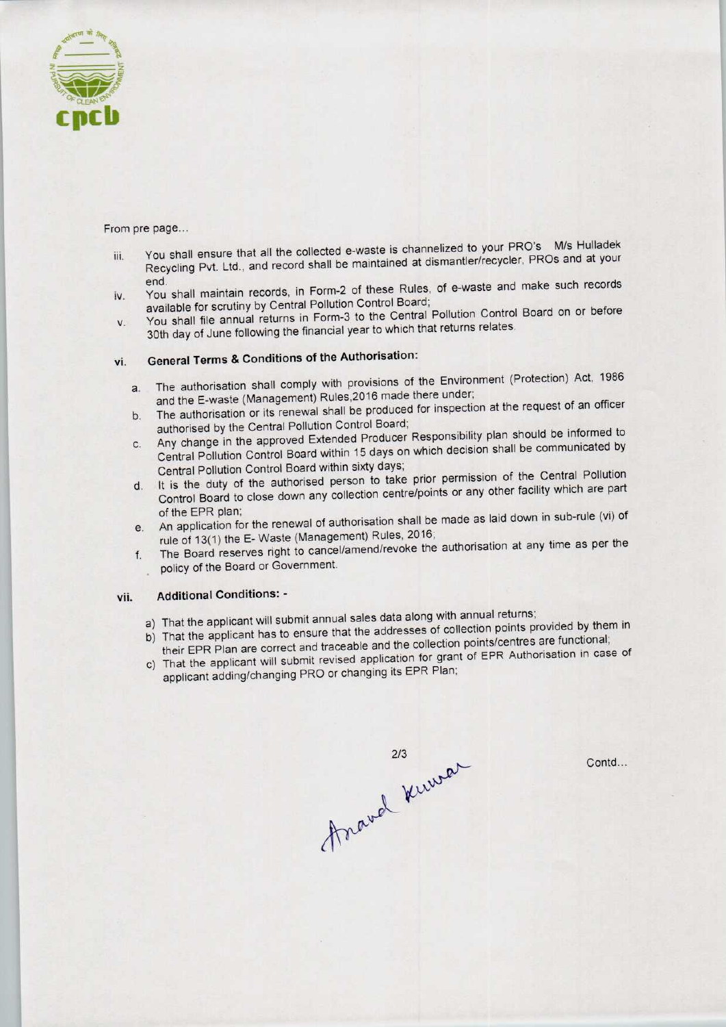

From pre page...

- iii. You shall ensure that all the collected e-waste is channelized to your PRO's M/s Hulladek Recycling Pvt. Ltd.. and record shall be maintained at dismantler/recycler, PROs and at your
- end.<br>
iv. You shall material records, in Form-2 of these Rules, of e-waste and make such records available for scrutiny by Central Pollution Control Board;
- v. You shall file annual returns in Form-3 to the Central Pollution Control Board on or before 30th day of June following the financial year to which that returns relates.

# vi. General Terms & Conditions of the Authorisation:

- a.The authorisation shall comply with provisions of the Environment (Protection) Act, <sup>1986</sup> and the E-waste (Management) Rules, 2016 made there under;
- b.The authorisation or its renewal shall be produced for inspection at the request of an officer authorised by the Central Pollution Control Board;
- c.Any change in the approved Extended Producer Responsibility plan should be informed to Central Pollution Control Board within 15 days on which decision shall be communicated by Central Pollution Control Board within sixty days;
- d. It is the duty of the authorised person to take prior permission of the Central Pollution Control Board to close down any collection centre/points or any other facility which are part of the EPR plan;
- e. An application for the renewal of authorisation shall be made as laid down in sub-rule (vi) of rule of 13(1) the E-Waste (Management) Rules, 2016;
- f.The Board reserves right to cancel/amend/revoke the authorisation at any time as per the policy of the Board or Government.

### vii. Additional Conditions: -

- a) That the applicant will submit annual sales data along with annual returns;
- b) That the applicant has to ensure that the addresses of collection points provided by them in their EPR Plan are correct and traceable and the collection points/centres are functional;
- c) That the applicant will submit revised application for grant of EPR Authorisation in case of applicant adding/changing PRO or changing its EPR Plan;



Contd...